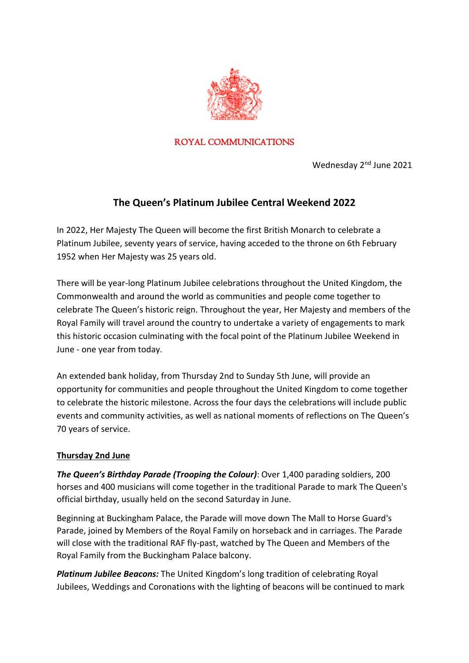

#### ROYAL COMMUNICATIONS

Wednesday 2<sup>nd</sup> June 2021

# **The Queen's Platinum Jubilee Central Weekend 2022**

In 2022, Her Majesty The Queen will become the first British Monarch to celebrate a Platinum Jubilee, seventy years of service, having acceded to the throne on 6th February 1952 when Her Majesty was 25 years old.

There will be year-long Platinum Jubilee celebrations throughout the United Kingdom, the Commonwealth and around the world as communities and people come together to celebrate The Queen's historic reign. Throughout the year, Her Majesty and members of the Royal Family will travel around the country to undertake a variety of engagements to mark this historic occasion culminating with the focal point of the Platinum Jubilee Weekend in June - one year from today.

An extended bank holiday, from Thursday 2nd to Sunday 5th June, will provide an opportunity for communities and people throughout the United Kingdom to come together to celebrate the historic milestone. Across the four days the celebrations will include public events and community activities, as well as national moments of reflections on The Queen's 70 years of service.

#### **Thursday 2nd June**

*The Queen's Birthday Parade (Trooping the Colour)*: Over 1,400 parading soldiers, 200 horses and 400 musicians will come together in the traditional Parade to mark The Queen's official birthday, usually held on the second Saturday in June.

Beginning at Buckingham Palace, the Parade will move down The Mall to Horse Guard's Parade, joined by Members of the Royal Family on horseback and in carriages. The Parade will close with the traditional RAF fly-past, watched by The Queen and Members of the Royal Family from the Buckingham Palace balcony.

*Platinum Jubilee Beacons:* The United Kingdom's long tradition of celebrating Royal Jubilees, Weddings and Coronations with the lighting of beacons will be continued to mark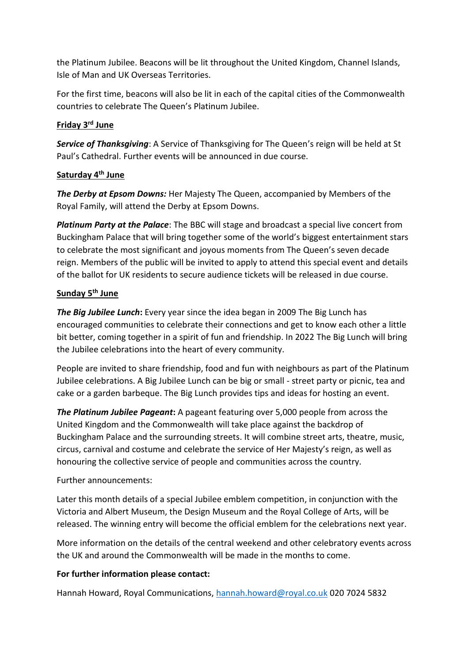the Platinum Jubilee. Beacons will be lit throughout the United Kingdom, Channel Islands, Isle of Man and UK Overseas Territories.

For the first time, beacons will also be lit in each of the capital cities of the Commonwealth countries to celebrate The Queen's Platinum Jubilee.

## **Friday 3rd June**

**Service of Thanksgiving**: A Service of Thanksgiving for The Queen's reign will be held at St Paul's Cathedral. Further events will be announced in due course.

## **Saturday 4th June**

*The Derby at Epsom Downs:* Her Majesty The Queen, accompanied by Members of the Royal Family, will attend the Derby at Epsom Downs.

*Platinum Party at the Palace*: The BBC will stage and broadcast a special live concert from Buckingham Palace that will bring together some of the world's biggest entertainment stars to celebrate the most significant and joyous moments from The Queen's seven decade reign. Members of the public will be invited to apply to attend this special event and details of the ballot for UK residents to secure audience tickets will be released in due course.

## **Sunday 5th June**

*The Big Jubilee Lunch***:** Every year since the idea began in 2009 The Big Lunch has encouraged communities to celebrate their connections and get to know each other a little bit better, coming together in a spirit of fun and friendship. In 2022 The Big Lunch will bring the Jubilee celebrations into the heart of every community.

People are invited to share friendship, food and fun with neighbours as part of the Platinum Jubilee celebrations. A Big Jubilee Lunch can be big or small - street party or picnic, tea and cake or a garden barbeque. The Big Lunch provides tips and ideas for hosting an event.

*The Platinum Jubilee Pageant***:** A pageant featuring over 5,000 people from across the United Kingdom and the Commonwealth will take place against the backdrop of Buckingham Palace and the surrounding streets. It will combine street arts, theatre, music, circus, carnival and costume and celebrate the service of Her Majesty's reign, as well as honouring the collective service of people and communities across the country.

# Further announcements:

Later this month details of a special Jubilee emblem competition, in conjunction with the Victoria and Albert Museum, the Design Museum and the Royal College of Arts, will be released. The winning entry will become the official emblem for the celebrations next year.

More information on the details of the central weekend and other celebratory events across the UK and around the Commonwealth will be made in the months to come.

# **For further information please contact:**

Hannah Howard, Royal Communications, [hannah.howard@royal.co.uk](mailto:hannah.howard@royal.co.uk) 020 7024 5832